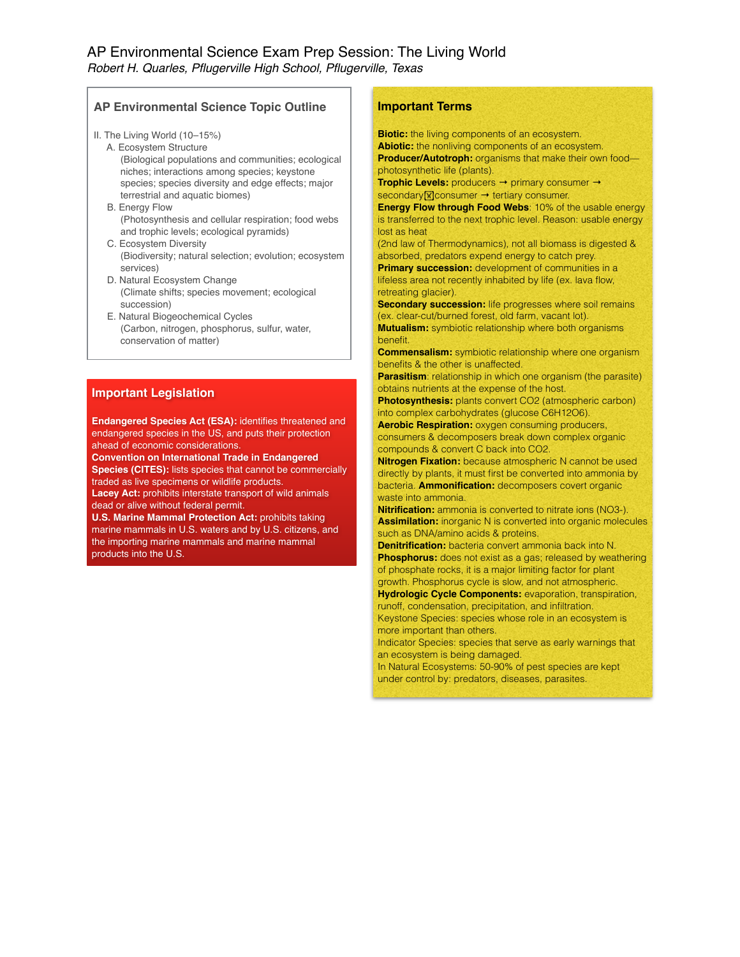# AP Environmental Science Exam Prep Session: The Living World *Robert H. Quarles, Pflugerville High School, Pflugerville, Texas*

## **AP Environmental Science Topic Outline**

II. The Living World (10–15%)

- A. Ecosystem Structure (Biological populations and communities; ecological niches; interactions among species; keystone species; species diversity and edge effects; major terrestrial and aquatic biomes)
- B. Energy Flow (Photosynthesis and cellular respiration; food webs and trophic levels; ecological pyramids)
- C. Ecosystem Diversity (Biodiversity; natural selection; evolution; ecosystem services)
- D. Natural Ecosystem Change (Climate shifts; species movement; ecological succession)
- E. Natural Biogeochemical Cycles (Carbon, nitrogen, phosphorus, sulfur, water, conservation of matter)

## **Important Legislation**

**Endangered Species Act (ESA):** identifies threatened and endangered species in the US, and puts their protection ahead of economic considerations.

**Convention on International Trade in Endangered Species (CITES):** lists species that cannot be commercially traded as live specimens or wildlife products. Lacey Act: prohibits interstate transport of wild animals

dead or alive without federal permit. **U.S. Marine Mammal Protection Act: prohibits taking** 

marine mammals in U.S. waters and by U.S. citizens, and the importing marine mammals and marine mammal products into the U.S.

# **Important Terms**

**Biotic:** the living components of an ecosystem. **Abiotic:** the nonliving components of an ecosystem. **Producer/Autotroph:** organisms that make their own food photosynthetic life (plants).

**Trophic Levels:** producers → primary consumer → secondary<sup>M</sup>consumer → tertiary consumer.

**Energy Flow through Food Webs**: 10% of the usable energy is transferred to the next trophic level. Reason: usable energy lost as heat

(2nd law of Thermodynamics), not all biomass is digested & absorbed, predators expend energy to catch prey.

**Primary succession:** development of communities in a lifeless area not recently inhabited by life (ex. lava flow, retreating glacier).

**Secondary succession:** life progresses where soil remains (ex. clear-cut/burned forest, old farm, vacant lot).

**Mutualism:** symbiotic relationship where both organisms benefit.

**Commensalism:** symbiotic relationship where one organism benefits & the other is unaffected.

**Parasitism**: relationship in which one organism (the parasite) obtains nutrients at the expense of the host.

**Photosynthesis:** plants convert CO2 (atmospheric carbon) into complex carbohydrates (glucose C6H12O6).

**Aerobic Respiration: oxygen consuming producers,** consumers & decomposers break down complex organic compounds & convert C back into CO2.

**Nitrogen Fixation:** because atmospheric N cannot be used directly by plants, it must first be converted into ammonia by bacteria. **Ammonification:** decomposers covert organic waste into ammonia.

**Nitrification:** ammonia is converted to nitrate ions (NO3-). **Assimilation:** inorganic N is converted into organic molecules such as DNA/amino acids & proteins.

**Denitrification:** bacteria convert ammonia back into N. **Phosphorus:** does not exist as a gas; released by weathering of phosphate rocks, it is a major limiting factor for plant growth. Phosphorus cycle is slow, and not atmospheric.

**Hydrologic Cycle Components:** evaporation, transpiration, runoff, condensation, precipitation, and infiltration.

Keystone Species: species whose role in an ecosystem is more important than others.

Indicator Species: species that serve as early warnings that an ecosystem is being damaged.

In Natural Ecosystems: 50-90% of pest species are kept under control by: predators, diseases, parasites.